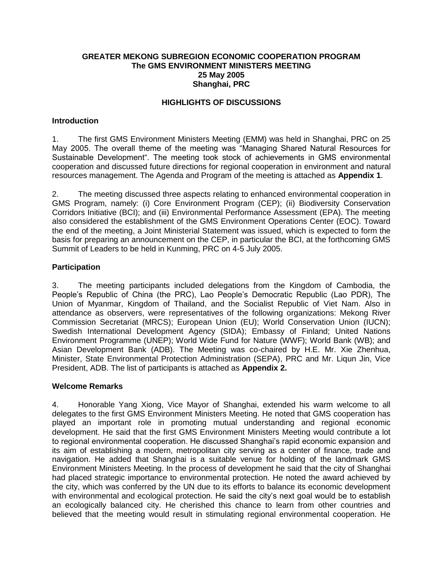#### **GREATER MEKONG SUBREGION ECONOMIC COOPERATION PROGRAM The GMS ENVIRONMENT MINISTERS MEETING 25 May 2005 Shanghai, PRC**

### **HIGHLIGHTS OF DISCUSSIONS**

### **Introduction**

1. The first GMS Environment Ministers Meeting (EMM) was held in Shanghai, PRC on 25 May 2005. The overall theme of the meeting was "Managing Shared Natural Resources for Sustainable Development". The meeting took stock of achievements in GMS environmental cooperation and discussed future directions for regional cooperation in environment and natural resources management. The Agenda and Program of the meeting is attached as **Appendix 1**.

2. The meeting discussed three aspects relating to enhanced environmental cooperation in GMS Program, namely: (i) Core Environment Program (CEP); (ii) Biodiversity Conservation Corridors Initiative (BCI); and (iii) Environmental Performance Assessment (EPA). The meeting also considered the establishment of the GMS Environment Operations Center (EOC). Toward the end of the meeting, a Joint Ministerial Statement was issued, which is expected to form the basis for preparing an announcement on the CEP, in particular the BCI, at the forthcoming GMS Summit of Leaders to be held in Kunming, PRC on 4-5 July 2005.

#### **Participation**

3. The meeting participants included delegations from the Kingdom of Cambodia, the People's Republic of China (the PRC), Lao People's Democratic Republic (Lao PDR), The Union of Myanmar, Kingdom of Thailand, and the Socialist Republic of Viet Nam. Also in attendance as observers, were representatives of the following organizations: Mekong River Commission Secretariat (MRCS); European Union (EU); World Conservation Union (IUCN); Swedish International Development Agency (SIDA); Embassy of Finland; United Nations Environment Programme (UNEP); World Wide Fund for Nature (WWF); World Bank (WB); and Asian Development Bank (ADB). The Meeting was co-chaired by H.E. Mr. Xie Zhenhua, Minister, State Environmental Protection Administration (SEPA), PRC and Mr. Liqun Jin, Vice President, ADB. The list of participants is attached as **Appendix 2.**

#### **Welcome Remarks**

4. Honorable Yang Xiong, Vice Mayor of Shanghai, extended his warm welcome to all delegates to the first GMS Environment Ministers Meeting. He noted that GMS cooperation has played an important role in promoting mutual understanding and regional economic development. He said that the first GMS Environment Ministers Meeting would contribute a lot to regional environmental cooperation. He discussed Shanghai's rapid economic expansion and its aim of establishing a modern, metropolitan city serving as a center of finance, trade and navigation. He added that Shanghai is a suitable venue for holding of the landmark GMS Environment Ministers Meeting. In the process of development he said that the city of Shanghai had placed strategic importance to environmental protection. He noted the award achieved by the city, which was conferred by the UN due to its efforts to balance its economic development with environmental and ecological protection. He said the city's next goal would be to establish an ecologically balanced city. He cherished this chance to learn from other countries and believed that the meeting would result in stimulating regional environmental cooperation. He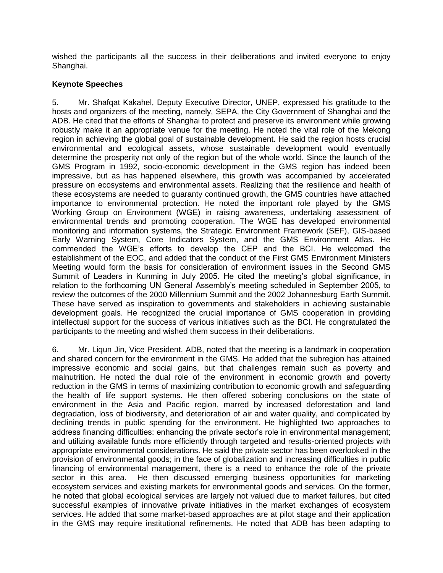wished the participants all the success in their deliberations and invited everyone to enjoy Shanghai.

### **Keynote Speeches**

5. Mr. Shafqat Kakahel, Deputy Executive Director, UNEP, expressed his gratitude to the hosts and organizers of the meeting, namely, SEPA, the City Government of Shanghai and the ADB. He cited that the efforts of Shanghai to protect and preserve its environment while growing robustly make it an appropriate venue for the meeting. He noted the vital role of the Mekong region in achieving the global goal of sustainable development. He said the region hosts crucial environmental and ecological assets, whose sustainable development would eventually determine the prosperity not only of the region but of the whole world. Since the launch of the GMS Program in 1992, socio-economic development in the GMS region has indeed been impressive, but as has happened elsewhere, this growth was accompanied by accelerated pressure on ecosystems and environmental assets. Realizing that the resilience and health of these ecosystems are needed to guaranty continued growth, the GMS countries have attached importance to environmental protection. He noted the important role played by the GMS Working Group on Environment (WGE) in raising awareness, undertaking assessment of environmental trends and promoting cooperation. The WGE has developed environmental monitoring and information systems, the Strategic Environment Framework (SEF), GIS-based Early Warning System, Core Indicators System, and the GMS Environment Atlas. He commended the WGE's efforts to develop the CEP and the BCI. He welcomed the establishment of the EOC, and added that the conduct of the First GMS Environment Ministers Meeting would form the basis for consideration of environment issues in the Second GMS Summit of Leaders in Kunming in July 2005. He cited the meeting's global significance, in relation to the forthcoming UN General Assembly's meeting scheduled in September 2005, to review the outcomes of the 2000 Millennium Summit and the 2002 Johannesburg Earth Summit. These have served as inspiration to governments and stakeholders in achieving sustainable development goals. He recognized the crucial importance of GMS cooperation in providing intellectual support for the success of various initiatives such as the BCI. He congratulated the participants to the meeting and wished them success in their deliberations.

6. Mr. Liqun Jin, Vice President, ADB, noted that the meeting is a landmark in cooperation and shared concern for the environment in the GMS. He added that the subregion has attained impressive economic and social gains, but that challenges remain such as poverty and malnutrition. He noted the dual role of the environment in economic growth and poverty reduction in the GMS in terms of maximizing contribution to economic growth and safeguarding the health of life support systems. He then offered sobering conclusions on the state of environment in the Asia and Pacific region, marred by increased deforestation and land degradation, loss of biodiversity, and deterioration of air and water quality, and complicated by declining trends in public spending for the environment. He highlighted two approaches to address financing difficulties: enhancing the private sector's role in environmental management; and utilizing available funds more efficiently through targeted and results-oriented projects with appropriate environmental considerations. He said the private sector has been overlooked in the provision of environmental goods; in the face of globalization and increasing difficulties in public financing of environmental management, there is a need to enhance the role of the private sector in this area. He then discussed emerging business opportunities for marketing ecosystem services and existing markets for environmental goods and services. On the former, he noted that global ecological services are largely not valued due to market failures, but cited successful examples of innovative private initiatives in the market exchanges of ecosystem services. He added that some market-based approaches are at pilot stage and their application in the GMS may require institutional refinements. He noted that ADB has been adapting to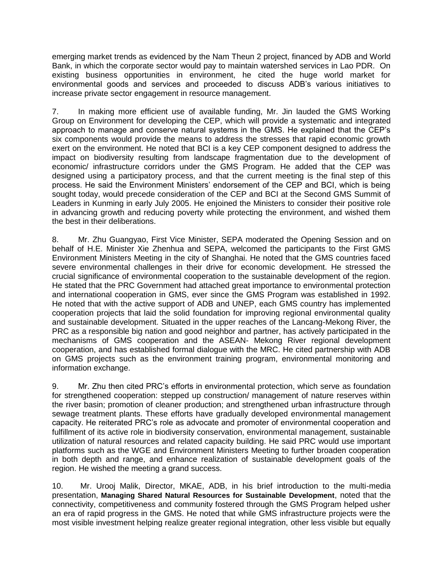emerging market trends as evidenced by the Nam Theun 2 project, financed by ADB and World Bank, in which the corporate sector would pay to maintain watershed services in Lao PDR. On existing business opportunities in environment, he cited the huge world market for environmental goods and services and proceeded to discuss ADB's various initiatives to increase private sector engagement in resource management.

7. In making more efficient use of available funding, Mr. Jin lauded the GMS Working Group on Environment for developing the CEP, which will provide a systematic and integrated approach to manage and conserve natural systems in the GMS. He explained that the CEP's six components would provide the means to address the stresses that rapid economic growth exert on the environment. He noted that BCI is a key CEP component designed to address the impact on biodiversity resulting from landscape fragmentation due to the development of economic/ infrastructure corridors under the GMS Program. He added that the CEP was designed using a participatory process, and that the current meeting is the final step of this process. He said the Environment Ministers' endorsement of the CEP and BCI, which is being sought today, would precede consideration of the CEP and BCI at the Second GMS Summit of Leaders in Kunming in early July 2005. He enjoined the Ministers to consider their positive role in advancing growth and reducing poverty while protecting the environment, and wished them the best in their deliberations.

8. Mr. Zhu Guangyao, First Vice Minister, SEPA moderated the Opening Session and on behalf of H.E. Minister Xie Zhenhua and SEPA, welcomed the participants to the First GMS Environment Ministers Meeting in the city of Shanghai. He noted that the GMS countries faced severe environmental challenges in their drive for economic development. He stressed the crucial significance of environmental cooperation to the sustainable development of the region. He stated that the PRC Government had attached great importance to environmental protection and international cooperation in GMS, ever since the GMS Program was established in 1992. He noted that with the active support of ADB and UNEP, each GMS country has implemented cooperation projects that laid the solid foundation for improving regional environmental quality and sustainable development. Situated in the upper reaches of the Lancang-Mekong River, the PRC as a responsible big nation and good neighbor and partner, has actively participated in the mechanisms of GMS cooperation and the ASEAN- Mekong River regional development cooperation, and has established formal dialogue with the MRC. He cited partnership with ADB on GMS projects such as the environment training program, environmental monitoring and information exchange.

9. Mr. Zhu then cited PRC's efforts in environmental protection, which serve as foundation for strengthened cooperation: stepped up construction/ management of nature reserves within the river basin; promotion of cleaner production; and strengthened urban infrastructure through sewage treatment plants. These efforts have gradually developed environmental management capacity. He reiterated PRC's role as advocate and promoter of environmental cooperation and fulfillment of its active role in biodiversity conservation, environmental management, sustainable utilization of natural resources and related capacity building. He said PRC would use important platforms such as the WGE and Environment Ministers Meeting to further broaden cooperation in both depth and range, and enhance realization of sustainable development goals of the region. He wished the meeting a grand success.

10. Mr. Urooj Malik, Director, MKAE, ADB, in his brief introduction to the multi-media presentation, **Managing Shared Natural Resources for Sustainable Development**, noted that the connectivity, competitiveness and community fostered through the GMS Program helped usher an era of rapid progress in the GMS. He noted that while GMS infrastructure projects were the most visible investment helping realize greater regional integration, other less visible but equally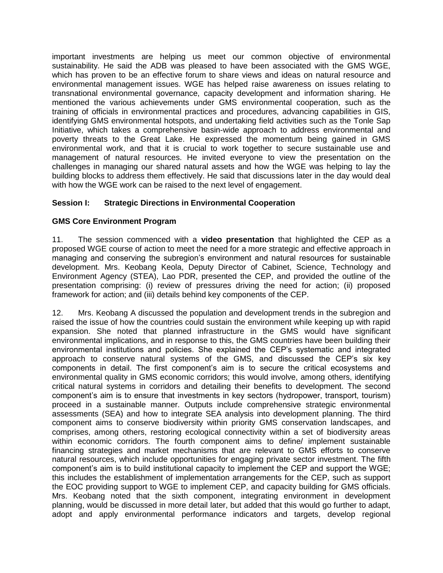important investments are helping us meet our common objective of environmental sustainability. He said the ADB was pleased to have been associated with the GMS WGE, which has proven to be an effective forum to share views and ideas on natural resource and environmental management issues. WGE has helped raise awareness on issues relating to transnational environmental governance, capacity development and information sharing. He mentioned the various achievements under GMS environmental cooperation, such as the training of officials in environmental practices and procedures, advancing capabilities in GIS, identifying GMS environmental hotspots, and undertaking field activities such as the Tonle Sap Initiative, which takes a comprehensive basin-wide approach to address environmental and poverty threats to the Great Lake. He expressed the momentum being gained in GMS environmental work, and that it is crucial to work together to secure sustainable use and management of natural resources. He invited everyone to view the presentation on the challenges in managing our shared natural assets and how the WGE was helping to lay the building blocks to address them effectively. He said that discussions later in the day would deal with how the WGE work can be raised to the next level of engagement.

# **Session I: Strategic Directions in Environmental Cooperation**

# **GMS Core Environment Program**

11. The session commenced with a **video presentation** that highlighted the CEP as a proposed WGE course of action to meet the need for a more strategic and effective approach in managing and conserving the subregion's environment and natural resources for sustainable development. Mrs. Keobang Keola, Deputy Director of Cabinet, Science, Technology and Environment Agency (STEA), Lao PDR, presented the CEP, and provided the outline of the presentation comprising: (i) review of pressures driving the need for action; (ii) proposed framework for action; and (iii) details behind key components of the CEP.

12. Mrs. Keobang A discussed the population and development trends in the subregion and raised the issue of how the countries could sustain the environment while keeping up with rapid expansion. She noted that planned infrastructure in the GMS would have significant environmental implications, and in response to this, the GMS countries have been building their environmental institutions and policies. She explained the CEP's systematic and integrated approach to conserve natural systems of the GMS, and discussed the CEP's six key components in detail. The first component's aim is to secure the critical ecosystems and environmental quality in GMS economic corridors; this would involve, among others, identifying critical natural systems in corridors and detailing their benefits to development. The second component's aim is to ensure that investments in key sectors (hydropower, transport, tourism) proceed in a sustainable manner. Outputs include comprehensive strategic environmental assessments (SEA) and how to integrate SEA analysis into development planning. The third component aims to conserve biodiversity within priority GMS conservation landscapes, and comprises, among others, restoring ecological connectivity within a set of biodiversity areas within economic corridors. The fourth component aims to define/ implement sustainable financing strategies and market mechanisms that are relevant to GMS efforts to conserve natural resources, which include opportunities for engaging private sector investment. The fifth component's aim is to build institutional capacity to implement the CEP and support the WGE; this includes the establishment of implementation arrangements for the CEP, such as support the EOC providing support to WGE to implement CEP, and capacity building for GMS officials. Mrs. Keobang noted that the sixth component, integrating environment in development planning, would be discussed in more detail later, but added that this would go further to adapt, adopt and apply environmental performance indicators and targets, develop regional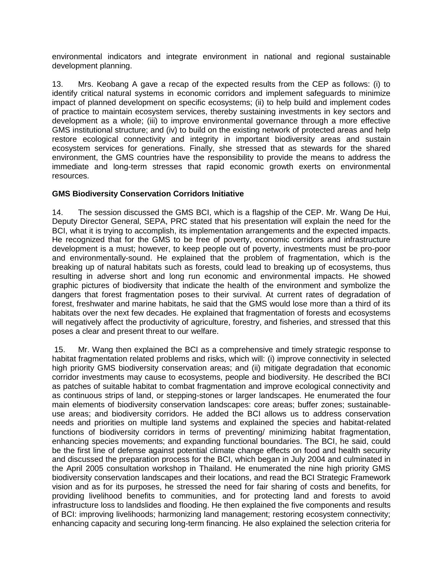environmental indicators and integrate environment in national and regional sustainable development planning.

13. Mrs. Keobang A gave a recap of the expected results from the CEP as follows: (i) to identify critical natural systems in economic corridors and implement safeguards to minimize impact of planned development on specific ecosystems; (ii) to help build and implement codes of practice to maintain ecosystem services, thereby sustaining investments in key sectors and development as a whole; (iii) to improve environmental governance through a more effective GMS institutional structure; and (iv) to build on the existing network of protected areas and help restore ecological connectivity and integrity in important biodiversity areas and sustain ecosystem services for generations. Finally, she stressed that as stewards for the shared environment, the GMS countries have the responsibility to provide the means to address the immediate and long-term stresses that rapid economic growth exerts on environmental resources.

### **GMS Biodiversity Conservation Corridors Initiative**

14. The session discussed the GMS BCI, which is a flagship of the CEP. Mr. Wang De Hui, Deputy Director General, SEPA, PRC stated that his presentation will explain the need for the BCI, what it is trying to accomplish, its implementation arrangements and the expected impacts. He recognized that for the GMS to be free of poverty, economic corridors and infrastructure development is a must; however, to keep people out of poverty, investments must be pro-poor and environmentally-sound. He explained that the problem of fragmentation, which is the breaking up of natural habitats such as forests, could lead to breaking up of ecosystems, thus resulting in adverse short and long run economic and environmental impacts. He showed graphic pictures of biodiversity that indicate the health of the environment and symbolize the dangers that forest fragmentation poses to their survival. At current rates of degradation of forest, freshwater and marine habitats, he said that the GMS would lose more than a third of its habitats over the next few decades. He explained that fragmentation of forests and ecosystems will negatively affect the productivity of agriculture, forestry, and fisheries, and stressed that this poses a clear and present threat to our welfare.

15. Mr. Wang then explained the BCI as a comprehensive and timely strategic response to habitat fragmentation related problems and risks, which will: (i) improve connectivity in selected high priority GMS biodiversity conservation areas; and (ii) mitigate degradation that economic corridor investments may cause to ecosystems, people and biodiversity. He described the BCI as patches of suitable habitat to combat fragmentation and improve ecological connectivity and as continuous strips of land, or stepping-stones or larger landscapes. He enumerated the four main elements of biodiversity conservation landscapes: core areas; buffer zones; sustainableuse areas; and biodiversity corridors. He added the BCI allows us to address conservation needs and priorities on multiple land systems and explained the species and habitat-related functions of biodiversity corridors in terms of preventing/ minimizing habitat fragmentation, enhancing species movements; and expanding functional boundaries. The BCI, he said, could be the first line of defense against potential climate change effects on food and health security and discussed the preparation process for the BCI, which began in July 2004 and culminated in the April 2005 consultation workshop in Thailand. He enumerated the nine high priority GMS biodiversity conservation landscapes and their locations, and read the BCI Strategic Framework vision and as for its purposes, he stressed the need for fair sharing of costs and benefits, for providing livelihood benefits to communities, and for protecting land and forests to avoid infrastructure loss to landslides and flooding. He then explained the five components and results of BCI: improving livelihoods; harmonizing land management; restoring ecosystem connectivity; enhancing capacity and securing long-term financing. He also explained the selection criteria for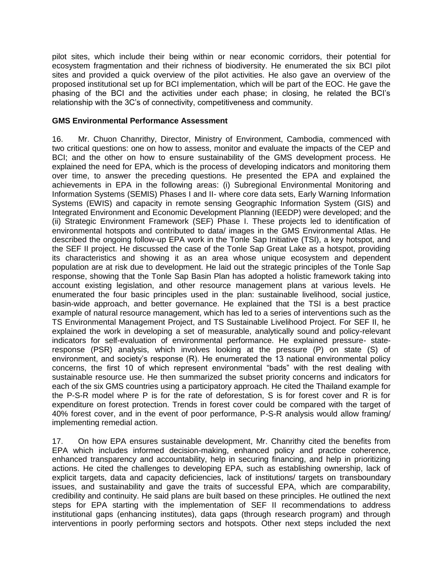pilot sites, which include their being within or near economic corridors, their potential for ecosystem fragmentation and their richness of biodiversity. He enumerated the six BCI pilot sites and provided a quick overview of the pilot activities. He also gave an overview of the proposed institutional set up for BCI implementation, which will be part of the EOC. He gave the phasing of the BCI and the activities under each phase; in closing, he related the BCI's relationship with the 3C's of connectivity, competitiveness and community.

#### **GMS Environmental Performance Assessment**

16. Mr. Chuon Chanrithy, Director, Ministry of Environment, Cambodia, commenced with two critical questions: one on how to assess, monitor and evaluate the impacts of the CEP and BCI; and the other on how to ensure sustainability of the GMS development process. He explained the need for EPA, which is the process of developing indicators and monitoring them over time, to answer the preceding questions. He presented the EPA and explained the achievements in EPA in the following areas: (i) Subregional Environmental Monitoring and Information Systems (SEMIS) Phases I and II- where core data sets, Early Warning Information Systems (EWIS) and capacity in remote sensing Geographic Information System (GIS) and Integrated Environment and Economic Development Planning (IEEDP) were developed; and the (ii) Strategic Environment Framework (SEF) Phase I. These projects led to identification of environmental hotspots and contributed to data/ images in the GMS Environmental Atlas. He described the ongoing follow-up EPA work in the Tonle Sap Initiative (TSI), a key hotspot, and the SEF II project. He discussed the case of the Tonle Sap Great Lake as a hotspot, providing its characteristics and showing it as an area whose unique ecosystem and dependent population are at risk due to development. He laid out the strategic principles of the Tonle Sap response, showing that the Tonle Sap Basin Plan has adopted a holistic framework taking into account existing legislation, and other resource management plans at various levels. He enumerated the four basic principles used in the plan: sustainable livelihood, social justice, basin-wide approach, and better governance. He explained that the TSI is a best practice example of natural resource management, which has led to a series of interventions such as the TS Environmental Management Project, and TS Sustainable Livelihood Project. For SEF II, he explained the work in developing a set of measurable, analytically sound and policy-relevant indicators for self-evaluation of environmental performance. He explained pressure- stateresponse (PSR) analysis, which involves looking at the pressure (P) on state (S) of environment, and society's response (R). He enumerated the 13 national environmental policy concerns, the first 10 of which represent environmental "bads" with the rest dealing with sustainable resource use. He then summarized the subset priority concerns and indicators for each of the six GMS countries using a participatory approach. He cited the Thailand example for the P-S-R model where P is for the rate of deforestation, S is for forest cover and R is for expenditure on forest protection. Trends in forest cover could be compared with the target of 40% forest cover, and in the event of poor performance, P-S-R analysis would allow framing/ implementing remedial action.

17. On how EPA ensures sustainable development, Mr. Chanrithy cited the benefits from EPA which includes informed decision-making, enhanced policy and practice coherence, enhanced transparency and accountability, help in securing financing, and help in prioritizing actions. He cited the challenges to developing EPA, such as establishing ownership, lack of explicit targets, data and capacity deficiencies, lack of institutions/ targets on transboundary issues, and sustainability and gave the traits of successful EPA, which are comparability, credibility and continuity. He said plans are built based on these principles. He outlined the next steps for EPA starting with the implementation of SEF II recommendations to address institutional gaps (enhancing institutes), data gaps (through research program) and through interventions in poorly performing sectors and hotspots. Other next steps included the next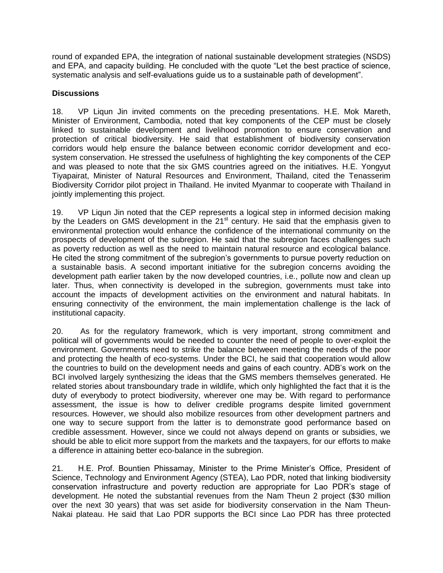round of expanded EPA, the integration of national sustainable development strategies (NSDS) and EPA, and capacity building. He concluded with the quote "Let the best practice of science, systematic analysis and self-evaluations guide us to a sustainable path of development".

### **Discussions**

18. VP Liqun Jin invited comments on the preceding presentations. H.E. Mok Mareth, Minister of Environment, Cambodia, noted that key components of the CEP must be closely linked to sustainable development and livelihood promotion to ensure conservation and protection of critical biodiversity. He said that establishment of biodiversity conservation corridors would help ensure the balance between economic corridor development and ecosystem conservation. He stressed the usefulness of highlighting the key components of the CEP and was pleased to note that the six GMS countries agreed on the initiatives. H.E. Yongyut Tiyapairat, Minister of Natural Resources and Environment, Thailand, cited the Tenasserim Biodiversity Corridor pilot project in Thailand. He invited Myanmar to cooperate with Thailand in jointly implementing this project.

19. VP Liqun Jin noted that the CEP represents a logical step in informed decision making by the Leaders on GMS development in the 21<sup>st</sup> century. He said that the emphasis given to environmental protection would enhance the confidence of the international community on the prospects of development of the subregion. He said that the subregion faces challenges such as poverty reduction as well as the need to maintain natural resource and ecological balance. He cited the strong commitment of the subregion's governments to pursue poverty reduction on a sustainable basis. A second important initiative for the subregion concerns avoiding the development path earlier taken by the now developed countries, i.e., pollute now and clean up later. Thus, when connectivity is developed in the subregion, governments must take into account the impacts of development activities on the environment and natural habitats. In ensuring connectivity of the environment, the main implementation challenge is the lack of institutional capacity.

20. As for the regulatory framework, which is very important, strong commitment and political will of governments would be needed to counter the need of people to over-exploit the environment. Governments need to strike the balance between meeting the needs of the poor and protecting the health of eco-systems. Under the BCI, he said that cooperation would allow the countries to build on the development needs and gains of each country. ADB's work on the BCI involved largely synthesizing the ideas that the GMS members themselves generated. He related stories about transboundary trade in wildlife, which only highlighted the fact that it is the duty of everybody to protect biodiversity, wherever one may be. With regard to performance assessment, the issue is how to deliver credible programs despite limited government resources. However, we should also mobilize resources from other development partners and one way to secure support from the latter is to demonstrate good performance based on credible assessment. However, since we could not always depend on grants or subsidies, we should be able to elicit more support from the markets and the taxpayers, for our efforts to make a difference in attaining better eco-balance in the subregion.

21. H.E. Prof. Bountien Phissamay, Minister to the Prime Minister's Office, President of Science, Technology and Environment Agency (STEA), Lao PDR, noted that linking biodiversity conservation infrastructure and poverty reduction are appropriate for Lao PDR's stage of development. He noted the substantial revenues from the Nam Theun 2 project (\$30 million over the next 30 years) that was set aside for biodiversity conservation in the Nam Theun-Nakai plateau. He said that Lao PDR supports the BCI since Lao PDR has three protected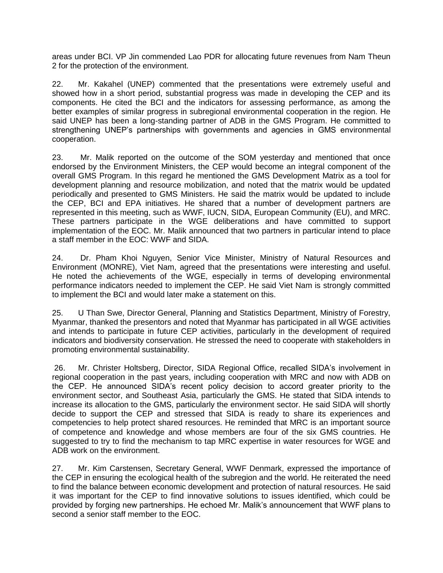areas under BCI. VP Jin commended Lao PDR for allocating future revenues from Nam Theun 2 for the protection of the environment.

22. Mr. Kakahel (UNEP) commented that the presentations were extremely useful and showed how in a short period, substantial progress was made in developing the CEP and its components. He cited the BCI and the indicators for assessing performance, as among the better examples of similar progress in subregional environmental cooperation in the region. He said UNEP has been a long-standing partner of ADB in the GMS Program. He committed to strengthening UNEP's partnerships with governments and agencies in GMS environmental cooperation.

23. Mr. Malik reported on the outcome of the SOM yesterday and mentioned that once endorsed by the Environment Ministers, the CEP would become an integral component of the overall GMS Program. In this regard he mentioned the GMS Development Matrix as a tool for development planning and resource mobilization, and noted that the matrix would be updated periodically and presented to GMS Ministers. He said the matrix would be updated to include the CEP, BCI and EPA initiatives. He shared that a number of development partners are represented in this meeting, such as WWF, IUCN, SIDA, European Community (EU), and MRC. These partners participate in the WGE deliberations and have committed to support implementation of the EOC. Mr. Malik announced that two partners in particular intend to place a staff member in the EOC: WWF and SIDA.

24. Dr. Pham Khoi Nguyen, Senior Vice Minister, Ministry of Natural Resources and Environment (MONRE), Viet Nam, agreed that the presentations were interesting and useful. He noted the achievements of the WGE, especially in terms of developing environmental performance indicators needed to implement the CEP. He said Viet Nam is strongly committed to implement the BCI and would later make a statement on this.

25. U Than Swe, Director General, Planning and Statistics Department, Ministry of Forestry, Myanmar, thanked the presentors and noted that Myanmar has participated in all WGE activities and intends to participate in future CEP activities, particularly in the development of required indicators and biodiversity conservation. He stressed the need to cooperate with stakeholders in promoting environmental sustainability.

26. Mr. Christer Holtsberg, Director, SIDA Regional Office, recalled SIDA's involvement in regional cooperation in the past years, including cooperation with MRC and now with ADB on the CEP. He announced SIDA's recent policy decision to accord greater priority to the environment sector, and Southeast Asia, particularly the GMS. He stated that SIDA intends to increase its allocation to the GMS, particularly the environment sector. He said SIDA will shortly decide to support the CEP and stressed that SIDA is ready to share its experiences and competencies to help protect shared resources. He reminded that MRC is an important source of competence and knowledge and whose members are four of the six GMS countries. He suggested to try to find the mechanism to tap MRC expertise in water resources for WGE and ADB work on the environment.

27. Mr. Kim Carstensen, Secretary General, WWF Denmark, expressed the importance of the CEP in ensuring the ecological health of the subregion and the world. He reiterated the need to find the balance between economic development and protection of natural resources. He said it was important for the CEP to find innovative solutions to issues identified, which could be provided by forging new partnerships. He echoed Mr. Malik's announcement that WWF plans to second a senior staff member to the EOC.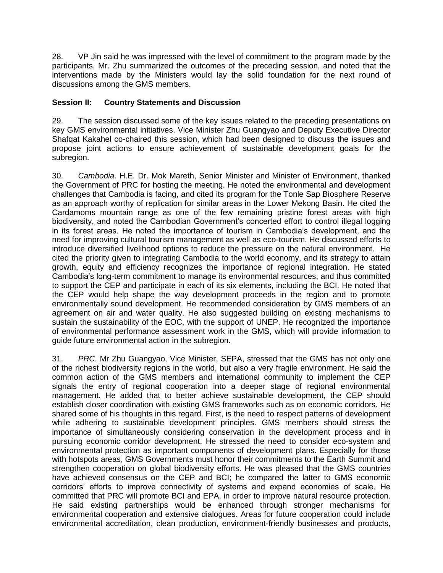28. VP Jin said he was impressed with the level of commitment to the program made by the participants. Mr. Zhu summarized the outcomes of the preceding session, and noted that the interventions made by the Ministers would lay the solid foundation for the next round of discussions among the GMS members.

### **Session II: Country Statements and Discussion**

29. The session discussed some of the key issues related to the preceding presentations on key GMS environmental initiatives. Vice Minister Zhu Guangyao and Deputy Executive Director Shafqat Kakahel co-chaired this session, which had been designed to discuss the issues and propose joint actions to ensure achievement of sustainable development goals for the subregion.

30. *Cambodia*. H.E. Dr. Mok Mareth, Senior Minister and Minister of Environment, thanked the Government of PRC for hosting the meeting. He noted the environmental and development challenges that Cambodia is facing, and cited its program for the Tonle Sap Biosphere Reserve as an approach worthy of replication for similar areas in the Lower Mekong Basin. He cited the Cardamoms mountain range as one of the few remaining pristine forest areas with high biodiversity, and noted the Cambodian Government's concerted effort to control illegal logging in its forest areas. He noted the importance of tourism in Cambodia's development, and the need for improving cultural tourism management as well as eco-tourism. He discussed efforts to introduce diversified livelihood options to reduce the pressure on the natural environment. He cited the priority given to integrating Cambodia to the world economy, and its strategy to attain growth, equity and efficiency recognizes the importance of regional integration. He stated Cambodia's long-term commitment to manage its environmental resources, and thus committed to support the CEP and participate in each of its six elements, including the BCI. He noted that the CEP would help shape the way development proceeds in the region and to promote environmentally sound development. He recommended consideration by GMS members of an agreement on air and water quality. He also suggested building on existing mechanisms to sustain the sustainability of the EOC, with the support of UNEP. He recognized the importance of environmental performance assessment work in the GMS, which will provide information to guide future environmental action in the subregion.

31. *PRC*. Mr Zhu Guangyao, Vice Minister, SEPA, stressed that the GMS has not only one of the richest biodiversity regions in the world, but also a very fragile environment. He said the common action of the GMS members and international community to implement the CEP signals the entry of regional cooperation into a deeper stage of regional environmental management. He added that to better achieve sustainable development, the CEP should establish closer coordination with existing GMS frameworks such as on economic corridors. He shared some of his thoughts in this regard. First, is the need to respect patterns of development while adhering to sustainable development principles. GMS members should stress the importance of simultaneously considering conservation in the development process and in pursuing economic corridor development. He stressed the need to consider eco-system and environmental protection as important components of development plans. Especially for those with hotspots areas, GMS Governments must honor their commitments to the Earth Summit and strengthen cooperation on global biodiversity efforts. He was pleased that the GMS countries have achieved consensus on the CEP and BCI; he compared the latter to GMS economic corridors' efforts to improve connectivity of systems and expand economies of scale. He committed that PRC will promote BCI and EPA, in order to improve natural resource protection. He said existing partnerships would be enhanced through stronger mechanisms for environmental cooperation and extensive dialogues. Areas for future cooperation could include environmental accreditation, clean production, environment-friendly businesses and products,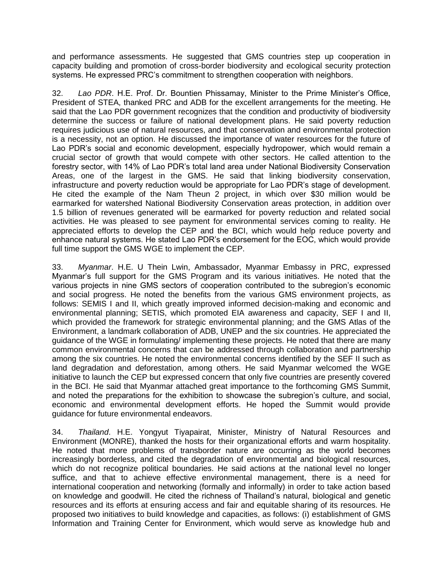and performance assessments. He suggested that GMS countries step up cooperation in capacity building and promotion of cross-border biodiversity and ecological security protection systems. He expressed PRC's commitment to strengthen cooperation with neighbors.

32. *Lao PDR*. H.E. Prof. Dr. Bountien Phissamay, Minister to the Prime Minister's Office, President of STEA, thanked PRC and ADB for the excellent arrangements for the meeting. He said that the Lao PDR government recognizes that the condition and productivity of biodiversity determine the success or failure of national development plans. He said poverty reduction requires judicious use of natural resources, and that conservation and environmental protection is a necessity, not an option. He discussed the importance of water resources for the future of Lao PDR's social and economic development, especially hydropower, which would remain a crucial sector of growth that would compete with other sectors. He called attention to the forestry sector, with 14% of Lao PDR's total land area under National Biodiversity Conservation Areas, one of the largest in the GMS. He said that linking biodiversity conservation, infrastructure and poverty reduction would be appropriate for Lao PDR's stage of development. He cited the example of the Nam Theun 2 project, in which over \$30 million would be earmarked for watershed National Biodiversity Conservation areas protection, in addition over 1.5 billion of revenues generated will be earmarked for poverty reduction and related social activities. He was pleased to see payment for environmental services coming to reality. He appreciated efforts to develop the CEP and the BCI, which would help reduce poverty and enhance natural systems. He stated Lao PDR's endorsement for the EOC, which would provide full time support the GMS WGE to implement the CEP.

33. *Myanmar*. H.E. U Thein Lwin, Ambassador, Myanmar Embassy in PRC, expressed Myanmar's full support for the GMS Program and its various initiatives. He noted that the various projects in nine GMS sectors of cooperation contributed to the subregion's economic and social progress. He noted the benefits from the various GMS environment projects, as follows: SEMIS I and II, which greatly improved informed decision-making and economic and environmental planning; SETIS, which promoted EIA awareness and capacity, SEF I and II, which provided the framework for strategic environmental planning; and the GMS Atlas of the Environment, a landmark collaboration of ADB, UNEP and the six countries. He appreciated the guidance of the WGE in formulating/ implementing these projects. He noted that there are many common environmental concerns that can be addressed through collaboration and partnership among the six countries. He noted the environmental concerns identified by the SEF II such as land degradation and deforestation, among others. He said Myanmar welcomed the WGE initiative to launch the CEP but expressed concern that only five countries are presently covered in the BCI. He said that Myanmar attached great importance to the forthcoming GMS Summit, and noted the preparations for the exhibition to showcase the subregion's culture, and social, economic and environmental development efforts. He hoped the Summit would provide guidance for future environmental endeavors.

34. *Thailand*. H.E. Yongyut Tiyapairat, Minister, Ministry of Natural Resources and Environment (MONRE), thanked the hosts for their organizational efforts and warm hospitality. He noted that more problems of transborder nature are occurring as the world becomes increasingly borderless, and cited the degradation of environmental and biological resources, which do not recognize political boundaries. He said actions at the national level no longer suffice, and that to achieve effective environmental management, there is a need for international cooperation and networking (formally and informally) in order to take action based on knowledge and goodwill. He cited the richness of Thailand's natural, biological and genetic resources and its efforts at ensuring access and fair and equitable sharing of its resources. He proposed two initiatives to build knowledge and capacities, as follows: (i) establishment of GMS Information and Training Center for Environment, which would serve as knowledge hub and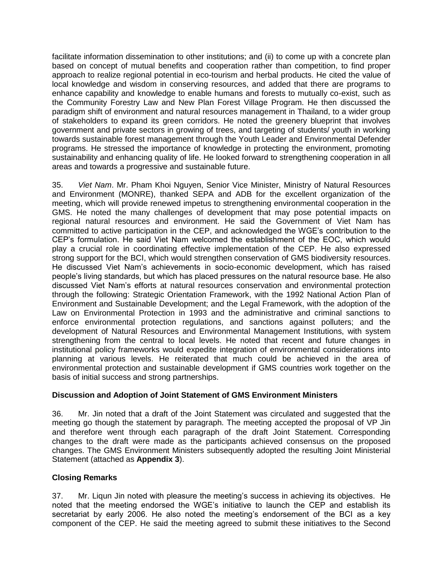facilitate information dissemination to other institutions; and (ii) to come up with a concrete plan based on concept of mutual benefits and cooperation rather than competition, to find proper approach to realize regional potential in eco-tourism and herbal products. He cited the value of local knowledge and wisdom in conserving resources, and added that there are programs to enhance capability and knowledge to enable humans and forests to mutually co-exist, such as the Community Forestry Law and New Plan Forest Village Program. He then discussed the paradigm shift of environment and natural resources management in Thailand, to a wider group of stakeholders to expand its green corridors. He noted the greenery blueprint that involves government and private sectors in growing of trees, and targeting of students/ youth in working towards sustainable forest management through the Youth Leader and Environmental Defender programs. He stressed the importance of knowledge in protecting the environment, promoting sustainability and enhancing quality of life. He looked forward to strengthening cooperation in all areas and towards a progressive and sustainable future.

35. *Viet Nam*. Mr. Pham Khoi Nguyen, Senior Vice Minister, Ministry of Natural Resources and Environment (MONRE), thanked SEPA and ADB for the excellent organization of the meeting, which will provide renewed impetus to strengthening environmental cooperation in the GMS. He noted the many challenges of development that may pose potential impacts on regional natural resources and environment. He said the Government of Viet Nam has committed to active participation in the CEP, and acknowledged the WGE's contribution to the CEP's formulation. He said Viet Nam welcomed the establishment of the EOC, which would play a crucial role in coordinating effective implementation of the CEP. He also expressed strong support for the BCI, which would strengthen conservation of GMS biodiversity resources. He discussed Viet Nam's achievements in socio-economic development, which has raised people's living standards, but which has placed pressures on the natural resource base. He also discussed Viet Nam's efforts at natural resources conservation and environmental protection through the following: Strategic Orientation Framework, with the 1992 National Action Plan of Environment and Sustainable Development; and the Legal Framework, with the adoption of the Law on Environmental Protection in 1993 and the administrative and criminal sanctions to enforce environmental protection regulations, and sanctions against polluters; and the development of Natural Resources and Environmental Management Institutions, with system strengthening from the central to local levels. He noted that recent and future changes in institutional policy frameworks would expedite integration of environmental considerations into planning at various levels. He reiterated that much could be achieved in the area of environmental protection and sustainable development if GMS countries work together on the basis of initial success and strong partnerships.

# **Discussion and Adoption of Joint Statement of GMS Environment Ministers**

36. Mr. Jin noted that a draft of the Joint Statement was circulated and suggested that the meeting go though the statement by paragraph. The meeting accepted the proposal of VP Jin and therefore went through each paragraph of the draft Joint Statement. Corresponding changes to the draft were made as the participants achieved consensus on the proposed changes. The GMS Environment Ministers subsequently adopted the resulting Joint Ministerial Statement (attached as **Appendix 3**).

# **Closing Remarks**

37. Mr. Liqun Jin noted with pleasure the meeting's success in achieving its objectives. He noted that the meeting endorsed the WGE's initiative to launch the CEP and establish its secretariat by early 2006. He also noted the meeting's endorsement of the BCI as a key component of the CEP. He said the meeting agreed to submit these initiatives to the Second